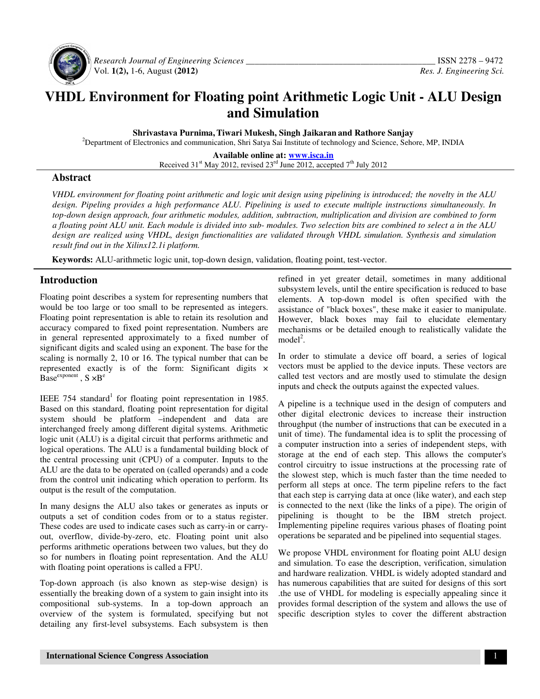

 *Research Journal of Engineering Sciences \_\_\_\_\_\_\_\_\_\_\_\_\_\_\_\_\_\_\_\_\_\_\_\_\_\_\_\_\_\_\_\_\_\_\_\_\_\_\_\_\_\_\_* ISSN 2278 – 9472 Vol. **1(2),** 1-6, August **(2012)** *Res. J. Engineering Sci.*

# **VHDL Environment for Floating point Arithmetic Logic Unit - ALU Design and Simulation**

**Shrivastava Purnima, Tiwari Mukesh, Singh Jaikaran and Rathore Sanjay** 

<sup>2</sup>Department of Electronics and communication, Shri Satya Sai Institute of technology and Science, Sehore, MP, INDIA

**Available online at: www.isca.in** Received  $31<sup>st</sup>$  May 2012, revised  $23<sup>rd</sup>$  June 2012, accepted  $7<sup>th</sup>$  July 2012

### **Abstract**

*VHDL environment for floating point arithmetic and logic unit design using pipelining is introduced; the novelty in the ALU design. Pipeling provides a high performance ALU. Pipelining is used to execute multiple instructions simultaneously. In top-down design approach, four arithmetic modules, addition, subtraction, multiplication and division are combined to form a floating point ALU unit. Each module is divided into sub- modules. Two selection bits are combined to select a in the ALU design are realized using VHDL, design functionalities are validated through VHDL simulation. Synthesis and simulation result find out in the Xilinx12.1i platform.* 

**Keywords:** ALU-arithmetic logic unit, top-down design, validation, floating point, test-vector.

## **Introduction**

Floating point describes a system for representing numbers that would be too large or too small to be represented as integers. Floating point representation is able to retain its resolution and accuracy compared to fixed point representation. Numbers are in general represented approximately to a fixed number of significant digits and scaled using an exponent. The base for the scaling is normally 2, 10 or 16. The typical number that can be represented exactly is of the form: Significant digits ×  $B$ ase<sup>exponent</sup>,  $S \times B^e$ 

IEEE 754 standard<sup>1</sup> for floating point representation in 1985. Based on this standard, floating point representation for digital system should be platform –independent and data are interchanged freely among different digital systems. Arithmetic logic unit (ALU) is a digital circuit that performs arithmetic and logical operations. The ALU is a fundamental building block of the central processing unit (CPU) of a computer. Inputs to the ALU are the data to be operated on (called operands) and a code from the control unit indicating which operation to perform. Its output is the result of the computation.

In many designs the ALU also takes or generates as inputs or outputs a set of condition codes from or to a status register. These codes are used to indicate cases such as carry-in or carryout, overflow, divide-by-zero, etc. Floating point unit also performs arithmetic operations between two values, but they do so for numbers in floating point representation. And the ALU with floating point operations is called a FPU.

Top-down approach (is also known as step-wise design) is essentially the breaking down of a system to gain insight into its compositional sub-systems. In a top-down approach an overview of the system is formulated, specifying but not detailing any first-level subsystems. Each subsystem is then

refined in yet greater detail, sometimes in many additional subsystem levels, until the entire specification is reduced to base elements. A top-down model is often specified with the assistance of "black boxes", these make it easier to manipulate. However, black boxes may fail to elucidate elementary mechanisms or be detailed enough to realistically validate the model<sup>2</sup>.

In order to stimulate a device off board, a series of logical vectors must be applied to the device inputs. These vectors are called test vectors and are mostly used to stimulate the design inputs and check the outputs against the expected values.

A pipeline is a technique used in the design of computers and other digital electronic devices to increase their instruction throughput (the number of instructions that can be executed in a unit of time). The fundamental idea is to split the processing of a computer instruction into a series of independent steps, with storage at the end of each step. This allows the computer's control circuitry to issue instructions at the processing rate of the slowest step, which is much faster than the time needed to perform all steps at once. The term pipeline refers to the fact that each step is carrying data at once (like water), and each step is connected to the next (like the links of a pipe). The origin of pipelining is thought to be the IBM stretch project. Implementing pipeline requires various phases of floating point operations be separated and be pipelined into sequential stages.

We propose VHDL environment for floating point ALU design and simulation. To ease the description, verification, simulation and hardware realization. VHDL is widely adopted standard and has numerous capabilities that are suited for designs of this sort .the use of VHDL for modeling is especially appealing since it provides formal description of the system and allows the use of specific description styles to cover the different abstraction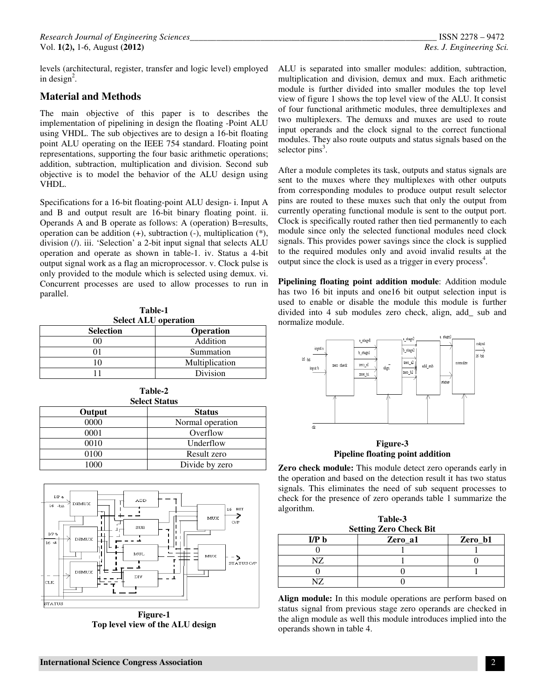levels (architectural, register, transfer and logic level) employed in design<sup>2</sup>.

### **Material and Methods**

The main objective of this paper is to describes the implementation of pipelining in design the floating -Point ALU using VHDL. The sub objectives are to design a 16-bit floating point ALU operating on the IEEE 754 standard. Floating point representations, supporting the four basic arithmetic operations; addition, subtraction, multiplication and division. Second sub objective is to model the behavior of the ALU design using VHDL.

Specifications for a 16-bit floating-point ALU design- i. Input A and B and output result are 16-bit binary floating point. ii. Operands A and B operate as follows: A (operation) B=results, operation can be addition (+), subtraction (-), multiplication (\*), division (/). iii. 'Selection' a 2-bit input signal that selects ALU operation and operate as shown in table-1. iv. Status a 4-bit output signal work as a flag an microprocessor. v. Clock pulse is only provided to the module which is selected using demux. vi. Concurrent processes are used to allow processes to run in parallel.

**Table-1 Select ALU operation** 

| <b>Selection</b> | <b>Operation</b> |
|------------------|------------------|
|                  | Addition         |
|                  | Summation        |
|                  | Multiplication   |
|                  | Division         |

| Table-2<br><b>Select Status</b> |                  |  |  |
|---------------------------------|------------------|--|--|
| Output<br><b>Status</b>         |                  |  |  |
| 0000                            | Normal operation |  |  |
| 0001                            | Overflow         |  |  |
| 0010                            | Underflow        |  |  |
| 0100                            | Result zero      |  |  |
| 1000                            | Divide by zero   |  |  |



**Figure-1 Top level view of the ALU design** 

ALU is separated into smaller modules: addition, subtraction, multiplication and division, demux and mux. Each arithmetic module is further divided into smaller modules the top level view of figure 1 shows the top level view of the ALU. It consist of four functional arithmetic modules, three demultiplexes and two multiplexers. The demuxs and muxes are used to route input operands and the clock signal to the correct functional modules. They also route outputs and status signals based on the selector  $pins<sup>3</sup>$ .

After a module completes its task, outputs and status signals are sent to the muxes where they multiplexes with other outputs from corresponding modules to produce output result selector pins are routed to these muxes such that only the output from currently operating functional module is sent to the output port. Clock is specifically routed rather then tied permanently to each module since only the selected functional modules need clock signals. This provides power savings since the clock is supplied to the required modules only and avoid invalid results at the output since the clock is used as a trigger in every process<sup>4</sup>.

**Pipelining floating point addition module**: Addition module has two 16 bit inputs and one16 bit output selection input is used to enable or disable the module this module is further divided into 4 sub modules zero check, align, add\_ sub and normalize module.



**Figure-3 Pipeline floating point addition** 

**Zero check module:** This module detect zero operands early in the operation and based on the detection result it has two status signals. This eliminates the need of sub sequent processes to check for the presence of zero operands table 1 summarize the algorithm.

**Table-3** 

| <b>Setting Zero Check Bit</b> |         |  |  |  |
|-------------------------------|---------|--|--|--|
| I/P <sub>b</sub>              | Zero b1 |  |  |  |
|                               |         |  |  |  |
| T7                            |         |  |  |  |
|                               |         |  |  |  |
|                               |         |  |  |  |

**Align module:** In this module operations are perform based on status signal from previous stage zero operands are checked in the align module as well this module introduces implied into the operands shown in table 4.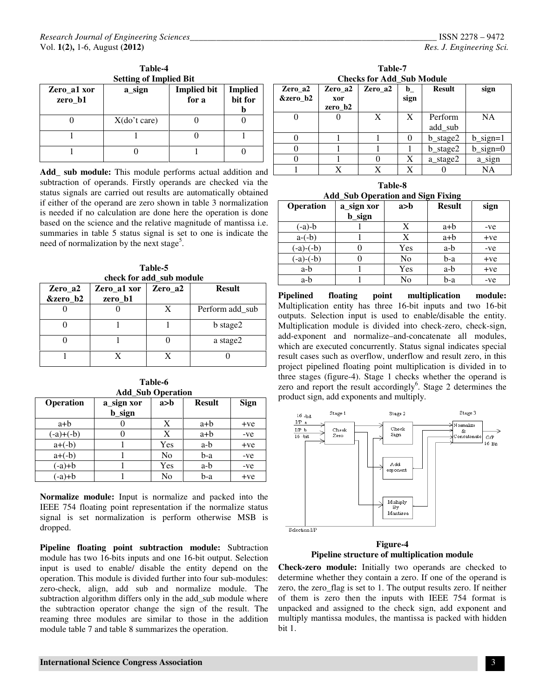| Zero_a1 xor<br>zero b1 | a_sign          | <b>Implied bit</b><br>for a | <b>Implied</b><br>bit for |
|------------------------|-----------------|-----------------------------|---------------------------|
|                        | $X$ (do't care) |                             |                           |
|                        |                 |                             |                           |
|                        |                 |                             |                           |

Add\_ sub module: This module performs actual addition and subtraction of operands. Firstly operands are checked via the status signals are carried out results are automatically obtained if either of the operand are zero shown in table 3 normalization is needed if no calculation are done here the operation is done based on the science and the relative magnitude of mantissa i.e. summaries in table 5 status signal is set to one is indicate the need of normalization by the next stage<sup>5</sup>.

**Table-5 check for add\_sub module**

| Zero_a2<br>&zero_b2 | Zero al xor<br>zero_b1 | Zero_a2 | <b>Result</b>   |
|---------------------|------------------------|---------|-----------------|
|                     |                        |         | Perform add_sub |
|                     |                        |         | b stage2        |
|                     |                        |         | a stage2        |
|                     |                        |         |                 |

**Table-6 Add\_Sub Operation** 

| <b>Operation</b> | a_sign xor<br>b_sign | a>b            | <b>Result</b> | <b>Sign</b> |
|------------------|----------------------|----------------|---------------|-------------|
| a+b              |                      | X              | a+b           | $+ve$       |
| $(-a)+(-b)$      |                      | X              | $a+b$         | -ve         |
| $a+(-b)$         |                      | Yes            | a-b           | $+ve$       |
| $a+(-b)$         |                      | N <sub>0</sub> | b-a           | -ve         |
| $(-a)+b$         |                      | Yes            | a-b           | -ve         |
| $(-a)+b$         |                      | No             | b-a           | $+ve$       |

**Normalize module:** Input is normalize and packed into the IEEE 754 floating point representation if the normalize status signal is set normalization is perform otherwise MSB is dropped.

**Pipeline floating point subtraction module:** Subtraction module has two 16-bits inputs and one 16-bit output. Selection input is used to enable/ disable the entity depend on the operation. This module is divided further into four sub-modules: zero-check, align, add sub and normalize module. The subtraction algorithm differs only in the add sub module where the subtraction operator change the sign of the result. The reaming three modules are similar to those in the addition module table 7 and table 8 summarizes the operation.

**Table-7 Checks for Add\_Sub Module** 

| Zero a2  | Zero a2 | Zero a2 | b    | <b>Result</b>      | sign        |
|----------|---------|---------|------|--------------------|-------------|
| &zero b2 | xor     |         | sign |                    |             |
|          | zero b2 |         |      |                    |             |
|          |         | X       | X    | Perform            | <b>NA</b>   |
|          |         |         |      | add_sub            |             |
|          |         |         |      | $b_{\text{stage}}$ | $b$ _sign=1 |
|          |         |         |      | $b_{\text{stage}}$ | $b$ _sign=0 |
|          |         |         | Х    | a stage2           | a_sign      |
|          |         |         | X    |                    | NΑ          |

| Table-8 |  |                                          |  |  |  |
|---------|--|------------------------------------------|--|--|--|
|         |  | <b>Add Sub Operation and Sign Fixing</b> |  |  |  |

| <b>Operation</b> | a_sign xor<br>b_sign | a>b            | <b>Result</b> | sign  |
|------------------|----------------------|----------------|---------------|-------|
| $(-a)-b$         |                      | X              | a+b           | -ve   |
| $a-(-b)$         |                      | X              | $a+b$         | $+ve$ |
| $(-a)-(-b)$      |                      | Yes            | a-b           | -ve   |
| $(-a)-(-b)$      |                      | N <sub>0</sub> | b-a           | $+ve$ |
| a-b              |                      | Yes            | a-b           | $+ve$ |
| a-b              |                      | No             | b-a           | -ve   |

**Pipelined floating point multiplication module:**  Multiplication entity has three 16-bit inputs and two 16-bit outputs. Selection input is used to enable/disable the entity. Multiplication module is divided into check-zero, check-sign, add-exponent and normalize–and-concatenate all modules, which are executed concurrently. Status signal indicates special result cases such as overflow, underflow and result zero, in this project pipelined floating point multiplication is divided in to three stages (figure-4). Stage 1 checks whether the operand is zero and report the result accordingly<sup>6</sup>. Stage 2 determines the product sign, add exponents and multiply.



Selection I/P

**Figure-4 Pipeline structure of multiplication module**

**Check-zero module:** Initially two operands are checked to determine whether they contain a zero. If one of the operand is zero, the zero\_flag is set to 1. The output results zero. If neither of them is zero then the inputs with IEEE 754 format is unpacked and assigned to the check sign, add exponent and multiply mantissa modules, the mantissa is packed with hidden bit 1.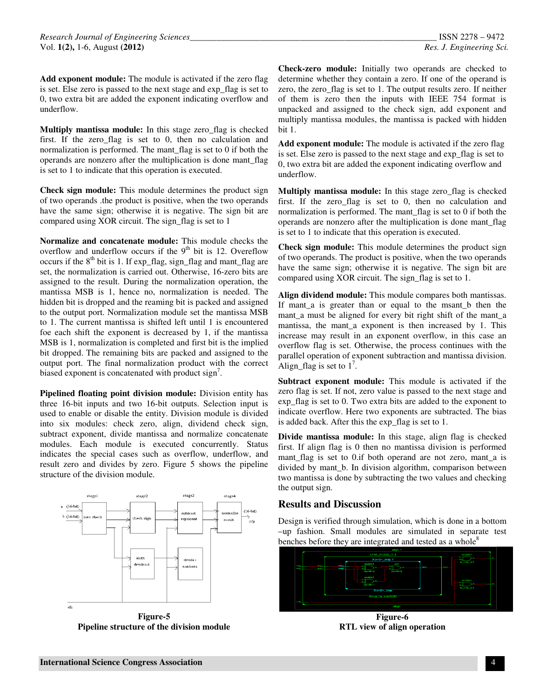**Add exponent module:** The module is activated if the zero flag is set. Else zero is passed to the next stage and exp\_flag is set to 0, two extra bit are added the exponent indicating overflow and underflow.

**Multiply mantissa module:** In this stage zero\_flag is checked first. If the zero\_flag is set to 0, then no calculation and normalization is performed. The mant\_flag is set to 0 if both the operands are nonzero after the multiplication is done mant\_flag is set to 1 to indicate that this operation is executed.

**Check sign module:** This module determines the product sign of two operands .the product is positive, when the two operands have the same sign; otherwise it is negative. The sign bit are compared using XOR circuit. The sign\_flag is set to 1

**Normalize and concatenate module:** This module checks the overflow and underflow occurs if the  $9<sup>th</sup>$  bit is 12. Overeflow occurs if the  $8<sup>th</sup>$  bit is 1. If exp\_flag, sign\_flag and mant\_flag are set, the normalization is carried out. Otherwise, 16-zero bits are assigned to the result. During the normalization operation, the mantissa MSB is 1, hence no, normalization is needed. The hidden bit is dropped and the reaming bit is packed and assigned to the output port. Normalization module set the mantissa MSB to 1. The current mantissa is shifted left until 1 is encountered foe each shift the exponent is decreased by 1, if the mantissa MSB is 1, normalization is completed and first bit is the implied bit dropped. The remaining bits are packed and assigned to the output port. The final normalization product with the correct biased exponent is concatenated with product sign<sup>7</sup>.

**Pipelined floating point division module:** Division entity has three 16-bit inputs and two 16-bit outputs. Selection input is used to enable or disable the entity. Division module is divided into six modules: check zero, align, dividend check sign, subtract exponent, divide mantissa and normalize concatenate modules. Each module is executed concurrently. Status indicates the special cases such as overflow, underflow, and result zero and divides by zero. Figure 5 shows the pipeline structure of the division module.



**Pipeline structure of the division module** 

**Check-zero module:** Initially two operands are checked to determine whether they contain a zero. If one of the operand is zero, the zero\_flag is set to 1. The output results zero. If neither of them is zero then the inputs with IEEE 754 format is unpacked and assigned to the check sign, add exponent and multiply mantissa modules, the mantissa is packed with hidden bit 1.

**Add exponent module:** The module is activated if the zero flag is set. Else zero is passed to the next stage and exp\_flag is set to 0, two extra bit are added the exponent indicating overflow and underflow.

**Multiply mantissa module:** In this stage zero flag is checked first. If the zero\_flag is set to 0, then no calculation and normalization is performed. The mant\_flag is set to 0 if both the operands are nonzero after the multiplication is done mant\_flag is set to 1 to indicate that this operation is executed.

**Check sign module:** This module determines the product sign of two operands. The product is positive, when the two operands have the same sign; otherwise it is negative. The sign bit are compared using XOR circuit. The sign\_flag is set to 1.

**Align dividend module:** This module compares both mantissas. If mant a is greater than or equal to the msant b then the mant\_a must be aligned for every bit right shift of the mant\_a mantissa, the mant\_a exponent is then increased by 1. This increase may result in an exponent overflow, in this case an overflow flag is set. Otherwise, the process continues with the parallel operation of exponent subtraction and mantissa division. Align\_flag is set to  $1^7$ .

**Subtract exponent module:** This module is activated if the zero flag is set. If not, zero value is passed to the next stage and exp\_flag is set to 0. Two extra bits are added to the exponent to indicate overflow. Here two exponents are subtracted. The bias is added back. After this the exp\_flag is set to 1.

**Divide mantissa module:** In this stage, align flag is checked first. If align flag is 0 then no mantissa division is performed mant flag is set to 0.if both operand are not zero, mant a is divided by mant\_b. In division algorithm, comparison between two mantissa is done by subtracting the two values and checking the output sign.

#### **Results and Discussion**

Design is verified through simulation, which is done in a bottom –up fashion. Small modules are simulated in separate test benches before they are integrated and tested as a whole<sup>8</sup>



**Figure-6 RTL view of align operation**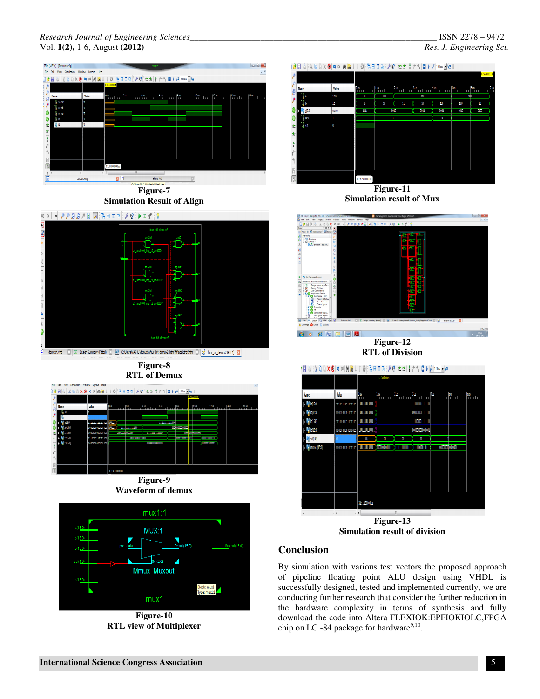#### *Research Journal of Engineering Sciences\_\_\_\_\_\_\_\_\_\_\_\_\_\_\_\_\_\_\_\_\_\_\_\_\_\_\_\_\_\_\_\_\_\_\_\_\_\_\_\_\_\_\_\_\_\_\_\_\_\_\_\_\_\_\_\_* ISSN 2278 – 9472 Vol. **1(2),** 1-6, August **(2012)** *Res. J. Engineering Sci.*



**Figure-10 RTL view of Multiplexer** 

 $mux1$ 

lock: mu<br>vne: mux

### of pipeline floating point ALU design using VHDL is successfully designed, tested and implemented currently, we are conducting further research that consider the further reduction in the hardware complexity in terms of synthesis and fully download the code into Altera FLEXIOK:EPFIOKIOLC,FPGA chip on LC -84 package for hardware $9,10$ .